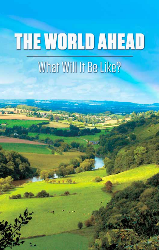# **THE WORLD AHEAD**

## What Will It Be Like?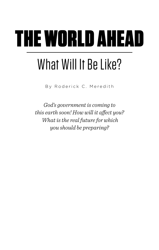# THE WORLD AHEAD

## What Will It Be Like?

By Roderick C. Meredith

*God's government is coming to this earth soon! How will it affect you? What is the real future for which you should be preparing?*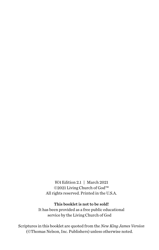*WA* Edition 2.1 | March 2021 ©2021 Living Church of God™ All rights reserved. Printed in the U.S.A.

#### This booklet is not to be sold!

It has been provided as a free public educational service by the Living Church of God

Scriptures in this booklet are quoted from the *New King James Version* (©Thomas Nelson, Inc. Publishers) unless otherwise noted.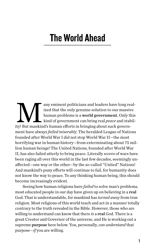### The World Ahead

any eminent politicians and leaders have long real-<br>ized that the only genuine solution to our massive<br>human problems is a **world government**. Only this<br>kind of government can bring real *peace* and stabil-<br>ty! But mankind ized that the only genuine solution to our massive human problems is a world government. Only this kind of government can bring real *peace* and stability! But mankind's human efforts in bringing about such government have always *failed miserably.* The heralded League of Nations founded after World War I did not stop World War II—the most horrifying war in human history—from exterminating about 75 million human beings! The United Nations, founded after World War II, has also failed utterly to bring peace. Literally *scores* of wars have been raging all over this world in the last few decades, seemingly unaffected—one way or the other—by the so-called "United" Nations! And mankind's puny efforts will continue to fail, for humanity does not know the way to peace. To any thinking human being, this should become increasingly evident.

Seeing how human religions have *failed* to solve man's problems, most educated people in our day have given up on believing in a real God. That is understandable, for mankind has *turned away* from true religion. Most religions of this world teach and act in a manner totally contrary to the truth revealed in the Bible. However, those who are willing to understand can know that there *is* a real God. There is a great Creator and Governor of the universe, and He is working out a supreme purpose here below. You, personally, *can understand* that purpose—*if* you are willing.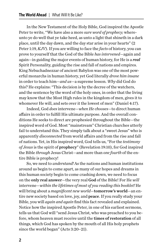In the New Testament of the Holy Bible, God inspired the Apostle Peter to write, "We have also a more *sure word of prophecy;* whereunto ye do well that ye take heed, as unto a light that shineth in a dark place, until the day dawn, and the day star arise in your hearts" (2 Peter 1:19, *KJV*). If you are willing to face the *facts* of history, you can prove to yourself that the God of the Bible *has intervened*—again and again—in guiding the major events of human history, for He is a *real* Spirit Personality, guiding the rise and fall of nations and empires. King Nebuchadnezzar of ancient Babylon was one of the most powerful monarchs in human history, yet God literally *drove him insane* in order to teach him—*and us*—a supreme lesson. *Why* did God do this? He explains: "This decision is by the decree of the watchers, and the sentence by the word of the holy ones, in order that the living may know that the Most High rules in the kingdom of men, gives it to whomever He will, and sets over it the lowest of men" (Daniel 4:17).

Indeed, God *does* intervene—*when He chooses*—to direct human affairs in order to fulfill His ultimate purpose. And the overall conditions He seeks to direct are prophesied throughout the Bible—the inspired word of God. Most "mainstream" Christian churches utterly fail to understand this. They simply talk about a "sweet Jesus" who is apparently *disconnected* from world affairs and from the rise and fall of nations. Yet, in His inspired word, God tells us, "For the *testimony of Jesus* is the spirit of prophecy" (Revelation 19:10), for God inspired the Bible *through* Jesus Christ—and more than *one fourth* of the entire Bible is prophecy!

So, we need to *understand!* As the nations and human institutions around us begin to come apart, as many of our hopes and dreams in this human society begin to come crashing down, we need to focus on the only real answer—the very real God of the Bible! For He *will* intervene—*within the lifetimes of most of you reading this booklet!* He will bring about a *magnificent new world*—tomorrow's world—an entire new society based on love, joy, and peace. If you really study your Bible, you will *again and again* find this fact revealed and explained. Notice how the inspired Apostle Peter, in one of his earliest sermons, tells us that God will "send Jesus Christ, who was preached to you before, whom heaven must receive until the times of restoration of all things, which God has spoken by the mouth of all His holy prophets since the world began" (Acts 3:20–21).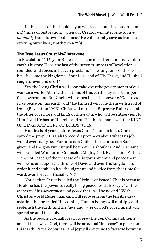In the pages of this booklet, you will read about those soon-coming "times of restoration," when our Creator will intervene to *save humanity* from its own foolishness! He will literally save us from destroying ourselves (Matthew 24:22)!

#### The True Jesus Christ *Will* Intervene

In Revelation 11:15, your Bible records the most tremendous event in earth's history. Here, the last of the seven trumpets of Revelation is sounded, and voices in heaven proclaim, "The kingdoms of this world have become the kingdoms of our Lord and of His Christ, and He shall reign forever and ever!"

Yes, the living Christ will soon take over the governments of our war-torn world! At first, the nations of this earth may resist His perfect government. But Christ will return in all the power of God to *enforce* peace on this earth, and "He Himself will rule them with a rod of iron" (Revelation 19:15). Christ will return as Supreme Ruler over all the other governors and kings of this earth, who will be subservient to Him. "And He has on His robe and on His thigh a name written: KING OF KINGS AND LORD OF LORDS" (v. 16).

Hundreds of years before Jesus Christ's human birth, God inspired the prophet Isaiah to record a prophecy about what His job would eventually be. "For unto us a Child is born, unto us a Son is given; and the government will be upon His shoulder. And His name will be called Wonderful, Counselor, Mighty God, Everlasting Father, Prince of Peace. Of the increase of His government and peace there will be no end, upon the throne of David and over His kingdom, to order it and establish it with judgment and justice from that time forward, even forever" (Isaiah 9:6–7).

Notice that Christ is called the "Prince of Peace." That is because He alone has the power to really bring peace! God also says, "Of the *increase* of his *government* and *peace* there will be no end." With Christ as world Ruler, mankind will recover from the terrible devastation that preceded His coming. Human beings will multiply and replenish the earth, and the *laws* and *ways* of God's government will spread around the globe.

As the people gradually learn to *obey* the Ten Commandments and all the laws of God, there will be an actual "increase" in peace on this earth. *Peace*, *happiness,* and joy will continue to *increase* between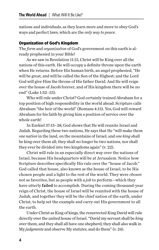nations and individuals, as they learn more and more to obey God's ways and perfect laws, which are the *only way to peace*.

#### Organization of God's Kingdom

The *form* and *organization* of God's government on this earth is already prophesied in your Bible!

As we saw in Revelation 11:15, Christ will be King over all the nations of this earth. He will occupy a definite throne upon the earth when He returns. Before His human birth, an angel prophesied, "He will be great, and will be called the Son of the Highest; and the Lord God will give Him the throne of His father David. And He will reign over the house of Jacob forever, and of His kingdom there will be no end" (Luke 1:32–33).

Who will rule under Christ? God certainly trained Abraham for a top position of high responsibility in the world ahead. Scripture calls Abraham "the heir of the world" (Romans 4:13). Yes, God will reward Abraham for his faith by giving him a position of service over the whole earth!

In Ezekiel 37:15–28, God shows that He will reunite Israel and Judah. Regarding these two nations, He says that He "will make them *one nation* in the land, on the mountains of Israel; and *one king* shall be king over them all; they shall no longer be two nations, nor shall they ever be divided into two kingdoms again" (v. 22).

Christ will rule in an especially direct way over the nations of Israel, because His headquarters will be at Jerusalem. Notice how Scripture describes specifically His rule over the "house of Jacob." God called that house, also known as the house of Israel, to be His chosen people and a light to the rest of the world. They were *chosen* not as favorites, but as people with a *job* to perform—which they have utterly failed to accomplish. During the coming thousand-year reign of Christ, the house of Israel will be reunited with the house of Judah, and together they will be the chief nation of the earth, under Christ, to help set the example and carry out His government to all the earth.

Under Christ as King of kings, the resurrected King David will rule directly over the united house of Israel. "David my servant shall be *king*  over them, and they shall all have one shepherd; they shall also walk in My *judgments* and observe My *statutes*, and do them" (v. 24).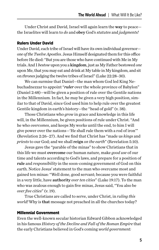Under Christ and David, Israel will again learn the way to peace the Israelites will learn to *do* and obey God's *statutes* and *judgments!*

#### Rulers Under David

Under David, each tribe of Israel will have its own individual governor *one of the Twelve Apostles*. Jesus Himself designated them for this office before He died: "But you are those who have continued with Me in My trials. And I *bestow* upon you a kingdom, just as My Father bestowed *one* upon Me, that you may eat and drink at My table in My kingdom, and sit on *thrones* judging the twelve tribes of Israel" (Luke 22:28–30).

We can surmise that Daniel—the man whom God led King Nebuchadnezzar to appoint "*ruler* over the whole province of Babylon" (Daniel 2:48)—will be given a position of rule over the Gentile nations in the Millennium. In fact, he may be given a very high position, similar to that of David, since God used him to help rule over the greatest Gentile kingdom in earth's history—the "head of gold" (v. 38).

Those Christians who *grow* in grace and knowledge in this life will, in the Millennium, be given positions of rule under Christ. "And he who *overcomes*, and keeps My works until the end, to him I will give power over the nations—'He shall rule them with a rod of iron'" (Revelation 2:26–27). And we find that Christ has "made us *kings* and *priests* to our God; and we shall reign *on the earth*" (Revelation 5:10).

Jesus gave the "parable of the minas" to show Christians that in this life we must overcome our human nature, make *good use* of our time and talents according to God's laws, and prepare for a position of rule and *responsibility* in the soon-coming government of God on this earth. Notice Jesus' statement to the man who overcame most and gained ten minas: "Well done, good servant; because you were faithful in a very little, have authority *over ten cities*" (Luke 19:17). To the man who was zealous enough to gain five minas, Jesus said, "You also be *over five cities*" (v. 19).

True Christians are called to serve, under Christ, in *ruling this world!* Why is that message not preached in all the churches today?

#### Millennial Government

Even the well-known secular historian Edward Gibbon acknowledged in his famous *History of the Decline and Fall of the Roman Empire* that the early Christians believed in God's coming *world government:*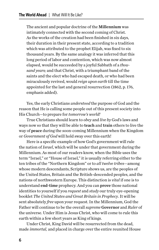The ancient and popular doctrine of the Millennium was intimately connected with the second coming of Christ. As the works of the creation had been finished in six days, their duration in their present state, according to a tradition which was attributed to the prophet Elijah, was fixed to six thousand years. By the same analogy it was inferred that this long period of labor and contention, which was now almost elapsed, would be succeeded by a joyful Sabbath of a *thousand years;* and that Christ, with a triumphant band of the saints and the elect who had escaped death, or who had been miraculously revived, would *reign upon earth* till the time appointed for the last and general resurrection (1862, p. 176, emphasis added).

Yes, the early Christians *understood* the purpose of God and the reason that He is calling some people out of this present society into His Church—to prepare for *tomorrow's world!*

True Christians should learn to *obey* and *live by* God's laws and ways now so that they will be able to teach and train others to live the way of peace during the soon-coming Millennium when the Kingdom or *Government of God* will hold sway over this earth!

Here is a specific example of how God's government will rule the nation of *Israel*, which will be under that government during the Millennium. As most of our readers know, when the Bible uses the term "Israel," or "House of Israel," it is usually referring either to the ten tribes of the "Northern Kingdom" or to *all twelve tribes*—among whose modern descendants, Scripture shows us, are the peoples of the United States, Britain and the British-descended peoples, and the nations of northwestern Europe. This distinction is *vital* if one is to understand end-time prophecy. And you can prove those national identities to yourself if you *request* and *study* our truly eye-opening booklet *The United States and Great Britain in Prophecy*. It will be sent absolutely *free* upon your request. In the Millennium, God the Father will continue to be the overall *supreme* Governor and *Ruler* of the universe. Under Him is Jesus Christ, who will come to rule this earth within a few short years as King of kings.

Under Christ, King David will be resurrected from the dead, made *immortal,* and placed in charge over the entire reunited House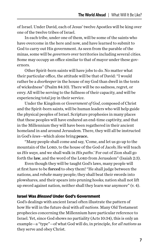of Israel. Under David, each of Jesus' twelve Apostles will be king over one of the twelve tribes of Israel.

In each tribe, under one of them, will be some of the saints who have overcome in the here and now, and have learned to submit to God to carry out His government. As seen from the parable of the minas, some will be *governors* over territories including several cities. Some may occupy an office similar to that of mayor under these governors.

Other Spirit-born saints will have jobs to do. No matter what their particular office, the attitude will be that of David: "I would rather be a *doorkeeper* in the house of my God than dwell in the tents of wickedness" (Psalm 84:10). There will be no sadness, regret, or envy. All will be serving to the fullness of their capacity, and will be experiencing total joy in their service.

Under the Kingdom or *Government of God*, composed of Christ and the Spirit-born saints, will be human leaders who will help guide the physical peoples of Israel. Scripture prophesies in many places that these peoples will have endured an end-time captivity, and that in the Millennium they will have been regathered in their ancient homeland in and around Jerusalem. There, they will all be instructed in God's *laws*—which alone bring peace.

"Many people shall come and say, 'Come, and let us go up to the mountain of the LORD, to the house of the God of Jacob; He will teach us *His ways*, and we shall walk in *His paths*.' For out of Zion shall go forth the law, and the word of the LORD from Jerusalem" (Isaiah 2:3).

Even though they will be taught God's laws, many people will at first have to be forced to obey them! "He shall judge between the nations, and *rebuke* many people; they shall beat their swords into plowshares, and their spears into pruning hooks; nation shall not lift up sword against nation, neither shall they learn war anymore" (v. 4).

#### Israel Was *Blessed* Under God's Government

God's dealings with ancient Israel often illustrate the pattern of how He will in the future deal with *all nations*. Many Old Testament prophecies concerning the Millennium have particular reference to Israel. Yet, since God shows no partiality (Acts 10:34), this is only an example—a "type"—of what God will do, in principle, for *all nations* as they serve and obey Christ.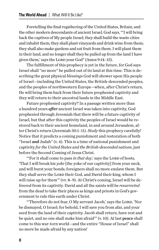Foretelling the final regathering of the United States, Britain, and the other modern descendants of ancient Israel, God says, "'I will bring back the captives of My people Israel; they shall build the waste cities and inhabit them; they shall plant vineyards and drink wine from them; they shall also make gardens and eat fruit from them. I will plant them in their land, and no longer shall they be pulled up from the land I have given them,' says the LORD your God" (Amos 9:14-15).

The fulfillment of this prophecy is yet in the future, for God says Israel shall "no more" be pulled out of its land at this time. This is describing the great physical *blessings* God will shower upon His people of Israel—including the United States, the British-descended peoples, and the peoples of northwestern Europe—when, after Christ's return, He will bring them back from their future prophesied captivity and they will return to their ancestral lands in the Middle East.

Future prophesied captivity? In a passage written more than a hundred years *after* ancient Israel was taken into captivity, God prophesied through Jeremiah that there will be a future captivity of Israel, but that after this captivity the peoples of Israel would be restored back to their ancient homeland, in and around Jerusalem, after Christ's return (Jeremiah 30:1–11). *Study* this prophecy carefully! Notice that it predicts a coming punishment and restoration of both "Israel and Judah" (v. 4). This is a time of national punishment and captivity *for the United States and the British-descended nations*, just before the Second Coming of Jesus Christ.

"'For it shall come to pass *in that day*,' says the LORD of hosts, 'That I will break his *yoke* [the yoke of our captivity] from your neck, and will burst your bonds; foreigners shall no more enslave them. But they shall serve the LORD their God, and David their king, whom I will raise up for them'" (vv. 8–9). At Christ's coming, Israel will be delivered from its captivity. David and all the saints will be *resurrected*  from the dead to take their places as kings and priests in God's government to rule this earth under Christ.

"Therefore do not fear, O My servant Jacob,' says the LORD, 'Nor be dismayed, O Israel; for behold, I will save you from afar, and your seed from the land of their captivity. Jacob shall return, have rest and be quiet, and no one shall make him afraid'" (v. 10). At last peace shall come to this war-torn world—and the entire "House of Israel" shall no more be made afraid by any nation!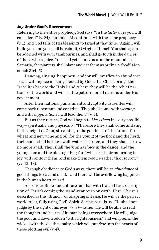#### *Joy* Under God's Government

Referring to the entire prophecy, God says, "In the *latter days* you will consider it" (v. 24). Jeremiah 31 continues with the same prophecy (v. 1), and God tells of His blessings to Israel at that time: "Again I will build you, and you shall be rebuilt, O virgin of Israel! You shall again be adorned with your tambourines, and shall go forth in the dances of those who rejoice. You shall yet plant vines on the mountains of Samaria; the planters shall plant and eat them as ordinary food" (Jeremiah 31:4–5).

Dancing, singing, happiness, and joy will overflow in abundance. Israel will rejoice in being blessed by God after Christ brings the Israelites back to the Holy Land, where they will be the "chief nation" of the world and will set the pattern for all nations under His government.

After their national punishment and captivity, Israelites will come back repentant and contrite. "They shall come with *weeping*, and with *supplications* I will lead them" (v. 9).

But as they return, God will begin to *bless them* in every possible way—spiritually and physically. "Therefore they shall come and sing in the height of Zion, streaming to the goodness of the LORD-for wheat and new wine and oil, for the young of the flock and the herd; their souls shall be like a well-watered garden, and they shall sorrow no more at all. Then shall the virgin *rejoice* in the dance, and the young men and the old, together; for I will turn their mourning to joy, will comfort them, and make them rejoice rather than sorrow" (vv. 12–13).

Through obedience to God's ways, there will be an *abundance* of good things to eat and drink—and there will be overflowing happiness in the human heart at last!

All serious Bible students are familiar with Isaiah 11 as a description of Christ's coming thousand-year reign on earth. Here, Christ is described as the "Branch" or offspring of Jesse. He will be the perfect world ruler, fully using God's Spirit. Scripture tells us, "He shall not judge by the sight of his eyes" (v. 3)—rather, He will be able to read the thoughts and hearts of human beings everywhere. He will judge the poor and downtrodden "with righteousness" and will *punish* the wicked with the death penalty, which will put *fear* into the hearts of those plotting evil (v. 4).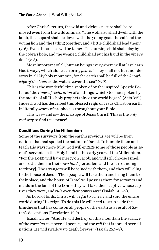After Christ's return, the wild and vicious nature shall be removed even from the wild animals. "The wolf also shall dwell with the lamb, the leopard shall lie down with the young goat, the calf and the young lion and the fatling together; and a little child shall lead them" (v. 6). Even the snakes will be tame: "The nursing child shall play by the cobra's hole, and the weaned child shall put his hand in the viper's den" (v. 8).

Most important of all, human beings everywhere will at last learn God's ways, which alone can bring *peace.* "They shall not hurt nor destroy in all My holy mountain, for the earth shall be full of the *knowledge of the Lorp* as the waters cover the sea" (v. 9).

This is the wonderful time spoken of by the inspired Apostle Peter as "the *times of restoration* of all things, which God has spoken by the mouth of all His holy prophets since the world began" (Acts 3:21). Indeed, God has described this blessed reign of Jesus Christ on earth in literally *scores* of prophecies throughout your Bible.

This was—and is—the *message* of Jesus Christ! This is the *only real way* to find true peace!

#### Conditions During the Millennium

Some of the survivors from the earth's previous age will be from nations that had spoiled the nations of Israel. To humble them and teach His ways more fully, God will engage some of those people as Israel's servants in the Holy Land in the early years of the Millennium. "For the LORD will have mercy on Jacob, and will still choose Israel, and settle them in their *own land* [Jerusalem and the surrounding territory]. The strangers will be joined with them, and they will cling to the house of Jacob. Then people will take them and bring them to their place, and the house of Israel will possess them for servants and maids in the land of the LORD; they will take them captive whose captives they were, and *rule over their oppressors*" (Isaiah 14:1–2).

As Lord of lords, Christ will begin to *convert* and *save* the entire world during His reign. To do this He will need to strip aside the blindness that has come on all people of the earth as a result of Satan's deceptions (Revelation 12:9).

Isaiah writes, "And He will destroy on this mountain the surface of the *covering* cast over all people, and the *veil* that is spread over all nations. He will swallow up death forever" (Isaiah 25:7–8).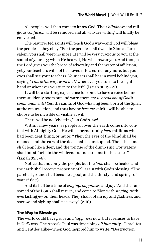All peoples will then come to know God. Their *blindness* and religious *confusion* will be removed and all who are willing will finally be converted.

The resurrected saints will teach God's way—and God will bless the people as they obey. "For the people shall dwell in Zion at Jerusalem; you shall weep no more. He will be very gracious to you at the sound of your cry; when He hears it, He will answer you. And though the Lord gives you the bread of adversity and the water of affliction, yet your teachers will not be moved into a corner anymore, but your eyes shall see your teachers. Your ears shall hear a word behind you, saying, '*This is the way, walk in it*,' whenever you turn to the right hand or whenever you turn to the left" (Isaiah 30:19-21).

It will be a startling experience for some to have a voice behind them suddenly boom out and warn them *not to break one of God's commandments!* Yes, the saints of God—having been born of the Spirit at the resurrection, and thus having *become* spirit—will be able to choose to be invisible or visible at will.

There will be no "cheating" on God's law!

Within a few years, as people all over the earth come into contact with Almighty God, He will supernaturally *heal* millions who had been deaf, blind, or mute! "Then the eyes of the blind shall be opened, and the ears of the deaf shall be unstopped. Then the lame shall leap like a deer, and the tongue of the dumb sing. For waters shall burst forth in the wilderness, and streams in the desert" (Isaiah 35:5–6).

Notice that not only the people, but the *land* shall be healed and the earth shall receive proper rainfall again with God's blessing. "The parched ground shall become a pool, and the thirsty land springs of water" (v. 7).

And it shall be a time of *singing, happiness,* and *joy*. "And the ransomed of the LORD shall return, and come to Zion with *singing*, with everlasting *joy* on their heads. They shall obtain joy and gladness, and sorrow and sighing shall flee away" (v. 10).

#### The *Way* to Blessings

The world could have *peace* and *happiness* now, but it refuses to have it *God's way.* The Apostle Paul was describing *all humanity*—Israelites and Gentiles alike—when God inspired him to write, "Destruction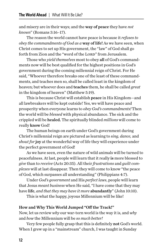and misery are in their ways; and the way of peace they have *not known*" (Romans 3:16–17).

The reason the world cannot have peace is because it *refuses to obey the commandments of God as a* way of life! As we have seen, when Christ comes to set up His government, the "law" of God shall go forth from Zion and the "word of the LORD" from Jerusalem.

Those who *yield themselves* most to obey all of God's commandments now will be best qualified for the highest positions in God's government during the coming millennial reign of Christ. For He said, "Whoever therefore breaks one of the least of these commandments, and teaches men so, shall be called least in the kingdom of heaven; but whoever does and teaches them, he shall be called *great* in the kingdom of heaven" (Matthew 5:19).

This is because Christ will establish peace in His Kingdom—and all lawbreakers will be kept outside! Yes, we will have peace and prosperity when everyone learns to *obey God's commandments!* Then the world will be *blessed* with physical abundance. The sick and the crippled will be healed. The spiritually blinded *millions* will come to really know God!

The human beings on earth under God's government during Christ's millennial reign are pictured as learning to *sing, dance,* and *shout for* joy at the wonderful way of life they will experience under the perfect government of God!

As we have seen, even the nature of wild animals will be turned to peacefulness. At last, people will learn that it really is more blessed to *give* than to *receive* (Acts 20:35). All their *frustrations* and *guilt complexes* will at last disappear. Then they will come to know "the peace of God, which surpasses all understanding" (Philippians 4:7).

Under *God's government* and His *perfect laws*, people will learn that Jesus *meant business* when He said, "I have come that they may have life, *and that they may have it more* abundantly" (John 10:10).

This is what the happy, joyous Millennium will be like!

#### How and Why This World Jumped "Off the Track!"

Now, let us review *why* our war-torn world is the way it is, and *why* and *how* the Millennium will be *so much better!*

Very few people fully grasp that this is definitely not God's world. When I grew up in a "mainstream" church, I was taught in Sunday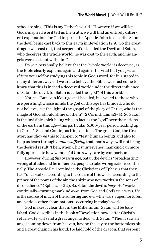school to sing, "This is my Father's world." However, if we will let God's inspired word tell us the truth, we will find an entirely different explanation, for God inspired the Apostle John to describe Satan the devil being cast back to this earth in Revelation 12:9: "So the great dragon was cast out, that serpent of old, called the Devil and Satan, who deceives the whole world; he was cast to the earth, and his angels were cast out with him."

*Do you,* personally, believe that the "whole world" is deceived, as the Bible clearly explains again and again? It is vital that you *prove this* to yourself by studying this topic in God's word, for it is stated in many different ways. If we are to believe the Bible, we must come to know that this is indeed a deceived world under the direct influence of Satan the devil, for Satan is called the "god" of this world.

Notice: "But even if our gospel is veiled, it is veiled to those who are perishing, whose minds the god of this age has blinded, who do not believe, lest the light of the gospel of the glory of Christ, who is the image of God, should shine on them" (2 Corinthians 4:3–4). So Satan is the invisible spirit being who, in fact, is the "god" over the nations of the earth in this age—this particular 6,000-year period leading up to Christ's Second Coming as King of kings. The great God, the Creator, has *allowed* this to happen to "test" human beings and also to help us learn through *human suffering* that man's ways will not bring the desired result. Then, when Christ intervenes, mankind can more fully appreciate how wonderful God's ways are by comparison!

However, during *this present age,* Satan the devil is "broadcasting" wrong attitudes and he influences people to take wrong actions continually. The Apostle Paul reminded the Christians of Ephesus that they had "once walked according to the course of this world, according to the prince of the power of the air, the spirit who now works in the sons of disobedience" (Ephesians 2:2). So, Satan the devil is *busy*. He "works" continually—turning mankind *away* from God and God's true ways. *He* is the source of much of the suffering and evil—the wars, rapes, tortures, and various other abominations—occurring in today's world.

God makes it clear that in the Millennium, Satan will be banished. God describes in the book of Revelation how—after Christ's return—He will send a great angel to deal with Satan: "Then I saw an angel coming down from heaven, having the key to the bottomless pit and a great chain in his hand. He laid hold of the dragon, that serpent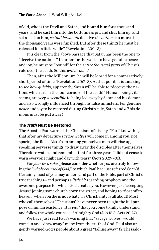of old, who is the Devil and Satan, and bound him for a thousand years; and he cast him into the bottomless pit, and shut him up, and set a seal on him, *so that he should* deceive *the nations* no more till the thousand years were finished. But after these things he must be released for a little while" (Revelation 20:1–3).

It is clear from the above passage that Satan has been the one to "deceive the nations." In order for the world to have genuine peace and joy, he must be "bound" for the *entire thousand years* of Christ's rule over the earth. So this *will be done!*

Then, after the Millennium, he will be loosed for a comparatively short period of time (Revelation 20:7–8). At that point, it is amazing to see *how quickly*, apparently, Satan will be able to "deceive the nations which are in the four corners of the earth!" Human beings, it seems, are *very susceptible* to being led away by Satan and his demons and also wrongly influenced through his false ministers. For genuine *peace* and joy to be restored during Christ's rule, Satan and *all* his demons must be put away!

#### The *Truth* Must Be Restored

The Apostle Paul warned the Christians of his day, "For I know this, that after my departure *savage wolves* will come in among you, not sparing the flock. Also from among yourselves men will rise up, speaking perverse things, to draw away the disciples after themselves. Therefore watch, and remember that for three years I did not cease to warn everyone night and day with tears" (Acts 20:29–31).

For *your own sake*, please consider whether *you* are truly following the "*whole counsel of God,*" to which Paul had just referred (v. 27)! Certainly most of you may understand part of the Bible, part of Christ's true teachings—and perhaps a *little bit* regarding prophecy and the awesome purpose for which God created you. However, just "accepting Jesus," joining some church down the street, and hoping to "float off to heaven" when you die is not what *true* Christianity is all about! Most who call themselves "Christians" have never been taught the full purpose of human existence! It is *vital* that you come to fully understand and follow the whole counsel of Almighty God (Job 15:8; Acts 20:27).

We have just read Paul's warning that "savage wolves" would come in and "draw away" many from the truth of God. Paul also urgently warned God's people about a great "falling away" (2 Thessalo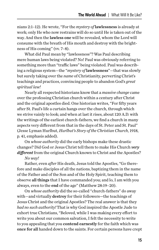nians 2:1–12). He wrote, "For the *mystery of* lawlessness is already at work; only He who now restrains will do so until He is taken out of the way. And then the lawless one will be revealed, whom the Lord will consume with the breath of His mouth and destroy with the brightness of His coming" (vv. 7–8).

What did Paul mean by "lawlessness"? Was Paul describing mere human laws being violated? No! Paul was obviously referring to something more than "traffic laws" being violated. Paul was describing a religious system—the "*mystery of* lawlessness"—that was slowly but surely taking over the *name* of Christianity, perverting Christ's teachings and practices, convincing people to abandon God's *great spiritual law!*

Nearly all respected historians know that a *massive change* came over the professing Christian church within a century after Christ and the original apostles died. One historian writes, "For fifty years after St. Paul's life a curtain hangs over the church, through which we strive vainly to look; and when at last it rises, about 120 A.D. with the writings of the earliest church-fathers, we find a church in many aspects very different from that in the days of St. Peter and St. Paul" (Jesse Lyman Hurlbut, *Hurlbut's Story of the Christian Church*, 1918, p. 41, emphasis added).

On *whose authority* did the early bishops make these drastic changes? Did God or Jesus Christ tell them to make His Church *very*  different from the original Church known to Christ and the Apostles?

#### *No way!*

Rather, even *after* His death, Jesus told the Apostles, "Go therefore and make disciples of all the nations, baptizing them in the name of the Father and of the Son and of the Holy Spirit, teaching them to observe all things that I have commanded you; and lo, I am with you always, even to the end of the age" (Matthew 28:19–20).

On *whose authority* did the so-called "church-fathers" do away with—and virtually destroy for their followers—the teachings of Jesus Christ and the original Apostles? The real answer is that they *had no such authority!* That is why God inspired the Apostle Jude to exhort true Christians, "Beloved, while I was making every effort to write you about our common salvation, I felt the necessity to write to you appealing that you **contend earnestly** for the faith which was once for all handed down to the saints. For certain persons have crept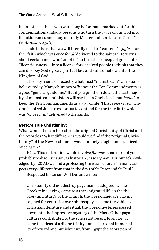in unnoticed, those who were long beforehand marked out for this condemnation, ungodly persons who turn the *grace* of our God into licentiousness and deny our only Master and Lord, Jesus Christ" (Jude 3–4, *NASB*).

Jude tells us that we will literally need to "contend"—*fight*—for the "faith which was *once for all* delivered to the saints." He warns about certain men who "crept in" to turn the concept of grace into "licentiousness"—into a license for deceived people to think that they can disobey God's great spiritual law and still somehow enter the Kingdom of God!

This, my friends, is exactly what most "mainstream" Christians believe today. Many churches *talk* about the Ten Commandments as a good "general guideline." But if you pin them down, the vast majority of mainstream ministers will say that a Christian is not *bound* to keep the Ten Commandments as a way of life! This is *one reason* why God inspired Jude to exhort us to contend for the true faith which was "*once for all* delivered to the saints."

#### *Restore* True Christianity!

What would it mean to restore the original Christianity of Christ and the Apostles? What differences would we find if the "original Christianity" of the New Testament was genuinely taught and practiced once again?

*Wow!* This restoration would involve *far more* than most of you probably realize! Because, as historian Jesse Lyman Hurlbut acknowledged, by 120 AD we find a professing Christian church "in many aspects very different from that in the days of St. Peter and St. Paul."

Respected historian Will Durant wrote:

Christianity did not destroy paganism; it adopted it. The Greek mind, dying, came to a transmigrated life in the theology and liturgy of the Church; the Greek language, having reigned for centuries over philosophy, became the vehicle of Christian literature and ritual; the Greek mysteries passed down into the impressive mystery of the Mass. Other pagan cultures contributed to the syncretist result. From Egypt came the ideas of a divine trinity… and a personal immortality of reward and punishment; from Egypt the adoration of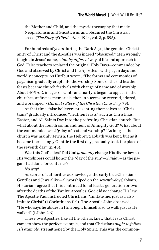the Mother and Child, and the mystic theosophy that made Neoplatonism and Gnosticism, and obscured the Christian creed (*The Story of Civilization*, 1944, vol. 3, p. 595).

For hundreds of years during the Dark Ages, the genuine Christianity of Christ and the Apostles was indeed "obscured." Men wrongly taught, in Jesus' name, a *totally different* way of life and approach to God. False teachers replaced the original Holy Days—commanded by God and observed by Christ and the Apostles—with pagan days and worldly concepts. As Hurlbut wrote, "The forms and ceremonies of paganism gradually crept into the worship. Some of the old heathen feasts became church festivals with change of name and of worship. About 405 A.D. images of saints and martyrs began to appear in the churches, at first as memorials, then in succession revered, adored, and worshiped" (*Hurlbut's Story of the Christian Church*, p. 79).

At that time, false believers presenting themselves as "Christians" gradually introduced "heathen feasts" such as Christmas, Easter, and All Saints Day into the professing Christian church. But what about the fourth commandment of Almighty God? What about the commanded *weekly* day of rest and worship? "As long as the church was mainly Jewish, the Hebrew Sabbath was kept; but as it became increasingly Gentile the first day gradually took the place of the seventh day" (p. 45).

Was this God's idea? Did God *gradually* change His divine law so His worshipers could honor the "day of the sun"—*Sunday*—as the pagans had done for centuries?

*No way!*

As scores of authorities acknowledge, the early true Christians— Gentiles and Jews alike—all worshiped on the *seventh-day* Sabbath. Historians agree that this continued for at least a generation or two after the deaths of the Twelve Apostles! God did *not* change His law. The Apostle Paul instructed Christians, "Imitate me, just as I also imitate Christ" (1 Corinthians 11:1). The Apostle John observed, "He who says he abides in Him ought himself also to walk just as He walked" (1 John 2:6).

These two Apostles, like all the others, knew that Jesus Christ came to show the perfect example, and that Christians *ought to follow His example,* strengthened by the Holy Spirit. This was the common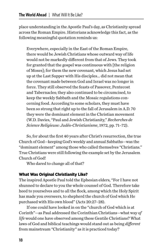place understanding in the Apostle Paul's day, as Christianity spread across the Roman Empire. Historians acknowledge this fact, as the following meaningful quotation reminds us:

Everywhere, especially in the East of the Roman Empire, there would be Jewish Christians whose outward way of life would not be markedly different from that of Jews. They took for granted that the gospel was continuous with [the religion of Moses]; for them the new covenant, which Jesus had set up at the Last Supper with His disciples... did not mean that the covenant made between God and Israel was no longer in force. They still observed the feasts of Passover, Pentecost and Tabernacles; they also continued to be circumcised, to keep the weekly Sabbath and the Mosaic regulations concerning food. According to some scholars, they must have been so strong that right up to the fall of Jerusalem in A.D. 70 they were the dominant element in the Christian movement (W.D. Davies, "Paul and Jewish Christianity," *Recherches de Science Religieuse: Judéo-Christianisme*, 1972, pp. 71–72).

So, for about the first 40 years after Christ's resurrection, the true Church of God—keeping God's weekly and annual Sabbaths—was the "dominant element" among those who called themselves "Christians." True Christians were still following the example set by the Jerusalem Church of God!

Who dared to change all of that?

#### What Was Original Christianity Like?

The inspired Apostle Paul told the Ephesian elders, "For I have not shunned to declare to you the whole counsel of God. Therefore take heed to yourselves and to all the flock, among which the Holy Spirit has made you overseers, to shepherd the church of God which He purchased with His own blood" (Acts 20:27–28).

If one could have looked in on the "church of God which is at Corinth"—as Paul addressed the Corinthian Christians—what way *of life* would one have observed among these Gentile Christians? What laws of God and biblical teachings would stand out as being *different*  from mainstream "Christianity" as it is practiced today?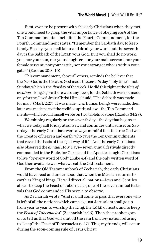First, even to be present with the early Christians when they met, one would need to grasp the vital importance of obeying *each* of the Ten Commandments—including the Fourth Commandment, for the Fourth Commandment states, "Remember the Sabbath day, to keep it holy. Six days you shall labor and do all your work, but the seventh day is the Sabbath of the LORD your God. In it you shall do no work: you, nor your son, nor your daughter, nor your male servant, nor your female servant, nor your cattle, nor your stranger who is within your gates" (Exodus 20:8–10).

This commandment, above all others, reminds the believer that the *true* God is the Creator. God made the *seventh* day "holy time"—not Sunday, which is the *first* day of the week. He did this right at the *time of creation*—long *before* there were any Jews, for the Sabbath was not made only for the Jews! Jesus Christ Himself said, "The Sabbath was made for man" (Mark 2:27). It was made *when* human beings were made, then later was made part of the codified spiritual law—the Ten Commandments—which God Himself wrote on two tablets of stone (Exodus 34:28).

Worshiping regularly on the seventh day—the day that begins at what we today call Friday at sunset, and continues until sunset on Saturday—the early Christians were always mindful that the true God was the Creator of heaven and earth, who gave the Ten Commandments that reveal the basis of the right way of life! And the early Christians *also* observed the *annual* Holy Days—seven annual festivals directly commanded in the Bible, for Christ and the Apostles taught Christians to live "by every word of God" (Luke 4:4) and the only written word of God then available was what we call the Old Testament.

From the Old Testament book of Zechariah, the early Christians would have read and understood that when the Messiah returns to earth as King of kings, He will direct all nations—Jews and Gentiles alike—to keep the Feast of Tabernacles, one of the seven annual festivals that God commanded His people to observe.

As Zechariah wrote, "And it shall come to pass that everyone who is left of all the nations which came against Jerusalem shall go up from year to year to worship the King, the LORD of hosts, and to keep the *Feast of Tabernacles*" (Zechariah 14:16). Then the prophet goes on to tell us that God will shut off the rain from *any* nation refusing to "keep" the Feast of Tabernacles (v. 17)! This, my friends, will occur during the soon-coming rule of Jesus Christ!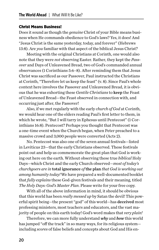#### Christ Means Business!

Does it sound as though the *genuine* Christ of your Bible means business when He commands obedience to God's laws? Yes, it does! And "Jesus Christ is the same yesterday, today, and forever" (Hebrews 13:8). Are *you* familiar with that aspect of the biblical Jesus Christ?

Meeting with the original Christians at Corinth, one would also note that they were *not* observing Easter. Rather, they kept the *Passover* and Days of Unleavened Bread, two of God's commanded annual observances (1 Corinthians 5:6–8). After reminding them that Jesus Christ was sacrificed as our Passover, Paul instructed the Christians at Corinth, "Therefore let us keep the feast" (v. 8). Since Paul's whole context here involves the Passover and Unleavened Bread, it is obvious that he was exhorting these *Gentile Christians* to keep the Feast of Unleavened Bread—the Feast observed in connection with, and occurring just after, the Passover!

Also, if we met regularly with the early *church of God* at Corinth, we would hear one of the elders reading Paul's first letter to them, in which he wrote, "But I will tarry in Ephesus until Pentecost" (1 Corinthians 16:8). Pentecost? Perhaps you thought that Pentecost was a one-time event when the Church began, when Peter preached to a massive crowd and 3,000 people were converted (Acts 2).

No. Pentecost was also one of the seven annual festivals—listed in Leviticus 23—that the early Christians observed. These festivals point out and help us commemorate the great plan that God is working out here on the earth. Without observing these true *biblical* Holy Days—which Christ and the early Church observed—*most of today's churchgoers are in* total ignorance *of*the plan *that God is working out among humanity today!* We have prepared a well-documented booklet that *fully explains* these God-given festivals and their meaning, titled *The Holy Days: God's Master Plan*. Please write for your free copy.

With all of the above information in mind, it should be obvious that this world has been *really messed up* by Satan the devil! This powerful spirit being—the present "god" of this world—has deceived most professing ministers, most teachers and educators, and the vast majority of people on this earth today! God's word makes that *very plain!*

Therefore, we can more fully understand *why* and *how* this world has jumped "off the track" in so many ways, for its religious system including *scores* of false beliefs and concepts about God and His en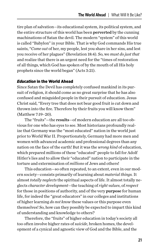tire plan of salvation—its educational system, its political system, and the entire structure of this world has been perverted by the cunning machinations of Satan the devil. The modern "system" of this world is called "Babylon" in your Bible. That is why God commands His true saints, "*Come out* of her, my people, lest you share in her sins, and lest you receive of her plagues" (Revelation 18:4). So, we *must do just that* and realize that there is an urgent need for the "times of restoration of all things, which God has spoken of by the mouth of all His holy prophets since the world began" (Acts 3:21).

#### *Education* in the World Ahead

Since Satan the Devil has completely confused mankind in its pursuit of religion, it should come as no great surprise that he has also confused and misguided people in their pursuit of education. Jesus Christ said, "Every tree that does not bear good fruit is cut down and thrown into the fire. Therefore by their fruits you will know them" (Matthew 7:19–20).

The "fruits"—the results—of modern education are all too obvious for one who has eyes to see. Most historians profoundly realize that Germany was the "most educated" nation in the world just prior to World War II. Proportionately, Germany had more men and women with advanced academic and professional degrees than any nation on the face of the earth! But it was the *wrong kind* of education, which prepared millions of these "educated" people to fall for Adolf Hitler's lies and to allow their "educated" nation to participate in the torture and extermination of *millions* of Jews and others!

This education—so often repeated, to an extent, even in our modern society—consists primarily of learning about *material things.* It almost *totally neglects* the spiritual aspects of life. It almost totally neglects *character development*—the teaching of *right values*, of *respect* for those in positions of authority, and of the very purpose for human life, for indeed the "great educators" in our colleges and institutions of higher learning *do not know* these values or this purpose even themselves! So, how can they possibly be expected to impart this kind of understanding and knowledge to others?

Therefore, the "fruits" of higher education in today's society all too often involve higher rates of *suicide*, broken homes, the development of a cynical and agnostic view of God and the Bible, and the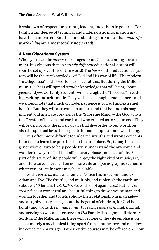breakdown of respect for parents, leaders, and others in general. Certainly, a fair degree of technical and materialistic information may have been imparted. But the understanding and values that *make life worth living* are almost totally neglected!

#### A New *Educational* System

When you read the *dozens* of passages about Christ's coming government, it is obvious that an *entirely different* educational system will soon be set up over this entire world! The *basis* of this educational system will be the *true* knowledge of God and His way of life! The modern "intelligentsia" of this world may sneer at this. But during the Millennium, teachers will spread *genuine* knowledge that will bring about *peace* and *joy*. Certainly students will be taught the "three R's"—reading, writing and arithmetic. They will also be taught true science—and we should note that much of modern science is correct and extremely helpful. But they will also come to understand that behind this magnificent and intricate creation is the "Supreme Mind"—the God who is the Creator of heaven and earth and who created us for a purpose. They will learn not only the physical laws that give order to our world, but also the spiritual laws that regulate human happiness and well-being.

It is often more difficult to unlearn untruths and wrong concepts than it is to learn the pure truth in the first place. So, it may take a generation or two to help people truly understand the awesome and wonderful ways of God that affect every phase and facet of life. As part of this way of life, people will enjoy the right kind of music, art, and literature. There will be no more vile and pornographic scenes in whatever entertainment may be available.

God *created us* male and female. Notice His first command to Adam and Eve: "Be fruitful, and multiply, and replenish the earth, and subdue it" (Genesis 1:28, *KJV*). So, God is not against sex! Rather *He created* it as a wonderful and beautiful thing to draw a young man and woman together and to help solidify their relationship in marriage and also, obviously, bring about the begettal of children, for God is a family and wants the *human family* to learn lessons of giving, sharing, and serving so we can later serve in *His* Family throughout all eternity. So, during the Millennium, there will be none of the vile emphasis on sex as merely a mechanical thing apart from genuine love and out-flowing concern in marriage. Rather, entire courses may be offered on "How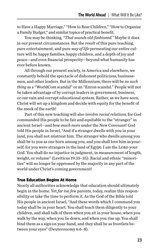to Have a Happy Marriage," "How to Rear Children," "How to Organize a Family Budget," and similar topics of practical benefit.

You may be thinking, *"That sounds old-fashioned."* Maybe it does in our present circumstances. But the *result* of this pure teaching, pure entertainment, and pure *way of life* permeating our entire culture will be happy families, happy children, and a depth of joy and peace—and even financial prosperity—beyond what humanity has ever before known.

All through our present society, in America and elsewhere, we constantly behold the spectacle of dishonest politicians, businessmen, and other leaders. But in the Millennium, there will be *no such thing* as a "WorldCom scandal" or an "Enron scandal." People will not be taken advantage of by corrupt leaders in government, business, or our vain and corrupt educational system. Rather, as we have seen, Christ will set up a kingdom and decide with equity for the benefit of the meek of the earth!

Part of this new teaching will also involve *racial relations,* for God commanded His people to be fair and equitable to the "stranger" in ancient Israel—and *how much more* under the New Covenant! God told His people in Israel, "And if a stranger dwells with you in your land, you shall not mistreat him. The stranger who dwells among you shall be to you as one born among you, and you shall love him as yourself; for you were strangers in the land of Egypt: I am the LORD your God. You shall do no injustice in judgment, in measurement of length, weight, or volume" (Leviticus 19:33–35). Racial and ethnic "minorities" will no longer be oppressed by the majority in any part of the world under Christ's coming government!

#### True Education Begins At Home

Nearly all authorities acknowledge that education should ultimately begin in the home. Yet *far too few* parents, today, realize this responsibility or take the time to perform it. As the God of the Bible told His people in ancient Israel, "And these words which I command you today shall be in your heart. You shall teach them diligently to your children, and shall talk of them when you sit in your house, when you walk by the way, when you lie down, and when you rise up. You shall bind them as a sign on your hand, and they shall be as frontlets between your eyes" (Deuteronomy 6:6–8).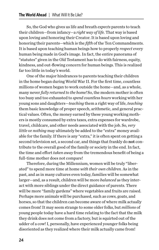So, the God who gives us life and breath *expects* parents to teach their children—from infancy—a *right way of life.* That way is based upon loving and honoring their Creator. It is based upon loving and honoring their parents—which is the *fifth* of the Ten Commandments. It is based upon teaching human beings how to properly *respect* every human being made in God's image. In fact, the entire panorama of "statutes" given in the Old Testament has to do with fairness, equity, kindness, and out-flowing concern for human beings. This is realized far too little in today's world.

One of the major hindrances to parents teaching their children in the home began during World War II. For the first time, countless millions of women began to work outside the home—and, as a whole, many never *fully returned to the home!* So, the modern mother is often too busy and too exhausted to *spend countless hours* working with her young sons and daughters—*teaching* them a right way of life, *teaching*  them basic knowledge of proper speech, arithmetic, and general practical values. Often, the money earned by these young working mothers is mostly consumed by extra taxes, extra expenses for wardrobe, travel, childcare, and other needs associated with the job. So, *very little* or *nothing* may ultimately be added to the "extra" money available for the family. If there is any "extra," it is often spent on getting a second television set, a second car, and things that frankly do not contribute to the overall good of the family or society in the end. In fact, the time and effort *taken away* from the tremendous benefit of being a full-time mother does not compare!

Therefore, during the Millennium, women will be truly "liberated" to spend more time at home *with their own children.* As in the past, and as in many cultures even today, families will be somewhat larger—and, as a result, children will be more *balanced* as they interact with more siblings under the direct guidance of parents. There will be more "family gardens" where vegetables and fruits are raised. Perhaps more animals will be purchased, such as cows, goats, and horses, so that the children can become aware of where milk actually comes from! It may seem strange to some older folks, but *millions* of young people today have a hard time relating to the fact that the milk they drink does not come from a factory, but is squirted out of the udder of a cow! I, personally, have experienced younger folks being disoriented as they realized where their milk actually came from!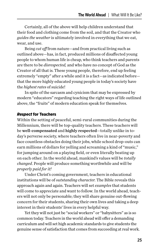Certainly, all of the above will help children understand that their food and clothing come from the soil, and that the Creator who *guides the weather* is ultimately involved in everything that we eat, wear, and use.

Being *cut off* from nature—and from practical living such as outlined above—has, in fact, produced millions of disaffected young people to whom human life is cheap, who think teachers and parents are there to be *disrespected,* and who have no concept of God as the Creator of all that is. These young people, therefore, end up feeling extremely "empty" after a while and it is a fact—as indicated before that the more highly educated young people in today's society have the *highest rates* of suicide!

In spite of the sarcasm and cynicism that may be expressed by modern "educators" regarding teaching the right ways of life outlined above, the "fruits" of modern education speak for themselves.

#### *Respect* for Teachers

Within the setting of peaceful, semi-rural communities during the Millennium, there will be top-quality teachers. These teachers will be well-compensated and highly respected—totally unlike in today's perverse society, where teachers often live in near-poverty and face countless obstacles doing their jobs, while school drop-outs can earn millions of dollars for yelling and screaming a kind of "music," for jumping around on a playing field, or even literally beating up on each other. In the world ahead, mankind's values will be *totally changed*. People will produce something worthwhile and will be *properly paid for it!*

Under Christ's coming government, teachers in educational institutions will be of *outstanding character.* The Bible reveals this approach again and again. Teachers will set *examples* that students will come to appreciate and want to follow. In the world ahead, teachers will not only be personable; they will share genuine out-flowing concern for their students, sharing their own lives and taking a deep interest in their students' lives in every helpful way.

Yet they will not just be "social workers" or "babysitters" as is so common today. Teachers in the world ahead will offer a demanding curriculum and will set high academic standards to give students the genuine sense of satisfaction that comes from succeeding at real work.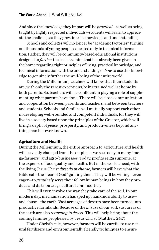And since the knowledge they impart will be *practical*—as well as being taught by highly respected individuals—students will learn to appreciate the challenge as they grow in true knowledge and understanding.

Schools and colleges will no longer be "academic factories" turning out thousands of young people educated only in technical information. Rather, they will be community-based educational institutions designed to *further* the basic training that has already been given in the home regarding right principles of living, practical knowledge, and technical information with the understanding of *how* to use this knowledge to genuinely further the well-being of the entire world.

During the Millennium, teachers will know that their students are, with only the rarest exceptions, being trained well at home by both parents. So, teachers will be confident in playing a role of supplementing what parents have done. There will be close communication and cooperation between parents and teachers, and between teachers and students. Schools and families will mutually support each other in developing well-rounded and competent individuals, for they will live in a society based upon the principles of the Creator, which will bring a depth of *peace,* prosperity, and productiveness beyond anything man has ever known.

#### Agriculture and Health

During the Millennium, the entire approach to agriculture and health will be vastly changed from the emphasis we see today in many "mega-farmers" and agro-businesses. Today, profits reign supreme, at the expense of food quality and health. But in the world ahead, with the living Jesus Christ *directly in charge*, farmers will have what the Bible calls the "fear of God" guiding them. They will be willing—even eager—to *genuinely serve* their fellow human beings in how they produce and distribute agricultural commodities.

This will even involve the way they take care of the soil. In our modern day, mechanization has sped up mankind's ability to use and abuse—the earth. Vast acreages of deserts have been turned into productive farmlands. Because of the *misuse* of our soil, vast areas of the earth are also *returning to desert.* This will help bring about the coming famines prophesied by Jesus Christ (Matthew 24:7).

Under Christ's rule, however, farmers will be careful to use natural fertilizers and environmentally friendly techniques to ensure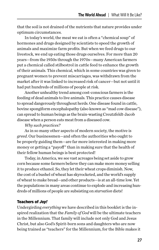that the soil is not drained of the nutrients that nature provides under optimum circumstances.

In today's world, the meat we eat is often a "chemical soup" of hormones and drugs designed by scientists to speed the growth of animals and maximize farm profits. But when we feed drugs to our livestock, we end up eating those drugs ourselves. For more than 20 years—from the 1950s through the 1970s—many American farmers put a chemical called stilbestrol in cattle feed to enhance the growth of their animals. This chemical, which in some countries was given to pregnant women to prevent miscarriages, was withdrawn from the market after it was linked to increased risk of cancer—but not until it had put hundreds of millions of people at risk.

Another unhealthy trend among cost-conscious farmers is the feeding of dead animals to live animals. This practice causes disease to spread dangerously throughout herds. One disease found in cattle, bovine spongiform encephalopathy (also known as "mad cow disease"), can spread to human beings as the brain-wasting Creutzfeldt-Jacob disease when a person eats meat from a diseased cow.

#### *Why such practices?*

As in so many other aspects of modern society, the motive is *greed*. Our businessmen—and often the authorities who ought to be properly guiding them—are far more interested in making more money or getting a "payoff" than in making sure that the health of their fellow human beings is best protected!

Today, in America, we see vast acreages being set aside to grow corn because some farmers believe they can make more money selling it to produce ethanol. So, they let their wheat crops diminish. Now, the cost of a bushel of wheat has skyrocketed, and the world's supply of wheat to make bread—and other products—is at an all-time low. Yet the populations in many areas continue to explode and increasing hundreds of millions of people are subsisting on *starvation* diets!

#### Teachers of *Joy!*

Undergirding *everything* we have described in this booklet is the inspired realization that the *Family of God* will be the ultimate teachers in the Millennium. That family will include not only God and Jesus Christ, but also God's Spirit-born sons and daughters who are now being trained as "teachers" for the Millennium, for the Bible makes it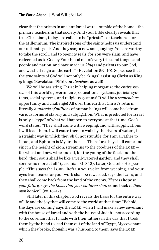clear that the priests in ancient Israel were—outside of the home—the primary teachers in that society. And your Bible clearly reveals that true Christians, today, are called to be "priests"—or teachers—for the Millennium. The inspired song of the saints helps us understand our ultimate goal: "And they sang a new song, saying: 'You are worthy to take the scroll, and to open its seals; for You were slain, and have redeemed us to God by Your blood out of every tribe and tongue and people and nation, and have made us *kings* and priests to our God; and we shall reign on the earth'" (Revelation 5:9–10). So, we see that the true saints of God will not only be "kings" assisting Christ as King *of* kings (Revelation 19:16), but *teachers* as well!

We will be assisting Christ in helping reorganize the *entire system* of this world's governments, educational systems, judicial systems, social systems, and religious systems! It will be a *tremendous* opportunity and challenge! All over this earth at Christ's return, literally *hundreds of millions* of human beings will come back from various forms of slavery and subjugation. What is predicted for Israel is only a "type" of what will happen to everyone at that time. God's word states, "They shall come with weeping, and with supplications I will lead them. I will cause them to walk by the rivers of waters, in a straight way in which they shall not stumble; for I am a Father to Israel, and Ephraim is My firstborn…. Therefore they shall come and sing in the height of Zion, streaming to the goodness of the  $LORD$ for wheat and new wine and oil, for the young of the flock and the herd; their souls shall be like a well-watered garden, and they shall sorrow no more at all" (Jeremiah 31:9, 12). Later, God tells His people, "Thus says the Lord: 'Refrain your voice from weeping, and your eyes from tears; for your work shall be rewarded, says the LORD, and they shall come back from the land of the enemy. *There is* hope *in your future, says the Lord, that your children shall* come back *to their own border*'" (vv. 16–17).

Still later in this chapter, God reveals the basis for the entire way of life and the joy that will come to the world at that time: "Behold, the days are coming, says the LORD, when I will make a new covenant with the house of Israel and with the house of Judah—not according to the covenant that I made with their fathers in the day that I took them by the hand to lead them out of the land of Egypt, My covenant which they broke, though I was a husband to them, says the LORD.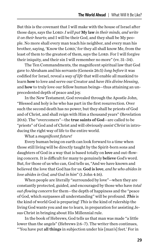But this is the covenant that I will make with the house of Israel after those days, says the LORD: *I will put* **My law** *in their minds, and write it on their hearts*; and I will be their God, and they shall be My people. No more shall every man teach his neighbor, and every man his brother, saying, 'Know the LORD,' for they all shall know Me, from the least of them to the greatest of them, says the LORD. For I will forgive their iniquity, and their sin I will remember no more" (vv. 31–34).

The Ten Commandments, the magnificent spiritual law that God gave to Abraham and his servants (Genesis 26:5) *long before* it was codified for Israel, reveal a *way of life* that will enable all mankind to learn how to love and serve our Creator and *have His divine blessing*, and how to truly love our fellow human beings—thus attaining an unprecedented depth of peace and joy.

In the New Testament, God revealed through the Apostle John, "Blessed and holy is he who has part in the first resurrection. Over such the second death has no power, but they shall be priests of God and of Christ, and shall reign with Him a thousand years" (Revelation 20:6). The "overcomers"—the true saints of God—are called to be "priests" of God and of Christ and will obviously *assist Christ* in introducing the right way of life to the entire world.

#### What a *magnificent future!*

Every human being on earth can look forward to a time when those still living will be directly taught by the Spirit-born sons and daughters of God in a way that is based totally on love and out-flowing concern. It is difficult for many to genuinely believe God's word. But, for those of us who can, God tells us, "And we have known and believed the love that God has for us. God is love, *and he who abides in love abides in God, and God in him*" (1 John 4:16).

When people are literally "surrounded by love"—when they are constantly protected, guided, and encouraged by those who have *total out-flowing concern* for them—the depth of happiness and the "peace of God, which surpasses all understanding" will be profound. *This* is the kind of world God is preparing! *This* is the kind of rulership the living God wants you and me to learn, in preparation for assisting Jesus Christ in bringing about His Millennial rule.

In the book of Hebrews, God tells us that man was made "a little lower than the angels" (Hebrews 2:6–7). The writer then continues, "'You have put all things in subjection under his [man's] feet.' For in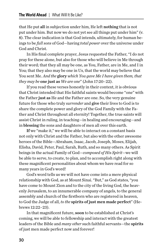that He put all in subjection under him, He left nothing that is not put under him. But now we do not yet see all things put under him" (v. 8). The clear indication is that God intends, ultimately, for human beings to be *full sons* of God—having *total power* over the universe under God and Christ.

In His final complete prayer, Jesus requested the Father, "I do not pray for these alone, but also for those who will believe in Me through their word; that they all may be one, as You, Father, are in Me, and I in You; that they also may be one in Us, that the world may believe that You sent Me. *And the* glory *which You gave Me I have given them, that they may be* one just as *We are one*" (John 17:20–22).

If you read these verses honestly in their context, it is obvious that Christ intended that His faithful saints would become "one" with the Father just as He and the Father are one. So, the very genuine future for those who truly *surrender* and give their lives to God is to share the complete power and glory of the God Family with the Father and Christ throughout all eternity! Together, the true saints will assist Christ in ruling, in teaching—in healing and encouraging—and in blessing the sons and daughters of men all over this earth.

If we "make it," we will be able to interact on a constant basis not only with Christ and the Father, but also with the other awesome heroes of the Bible—Abraham, Isaac, Jacob, Joseph, Moses, Elijah, Elisha, David, Peter, Paul, Sarah, Ruth, and so many others. As Spirit beings in the actual Family of God—*composed of His Spirit*—we will be able to serve, to create, to plan, and to accomplish right along with these magnificent personalities about whom we have read for so many years in God's word!

God's word tells us we will not have come into a mere physical relationship with God, as at Mount Sinai. "But," as God states, "you have come to Mount Zion and to the city of the living God, the heavenly Jerusalem, to an innumerable company of angels, to the general assembly and church of the firstborn who are registered in heaven, to God the Judge of all, *to the* spirits of just men made perfect" (Hebrews 12:22–23).

In that magnificent future, soon to be established at Christ's coming, we will be able to fellowship and interact with the greatest leaders of the Bible and *many other* such faithful servants—the spirits of just men made perfect now and forever!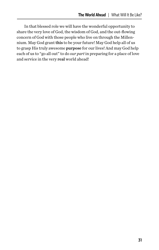In that blessed role we will have the wonderful opportunity to share the very love of God, the wisdom of God, and the out-flowing concern of God with those people who live on through the Millennium. May God grant this to be your future! May God help all of us to grasp His truly awesome purpose for our lives! And may God help each of us to "go all out" to do *our part* in preparing for a place of love and service in the very real world ahead!